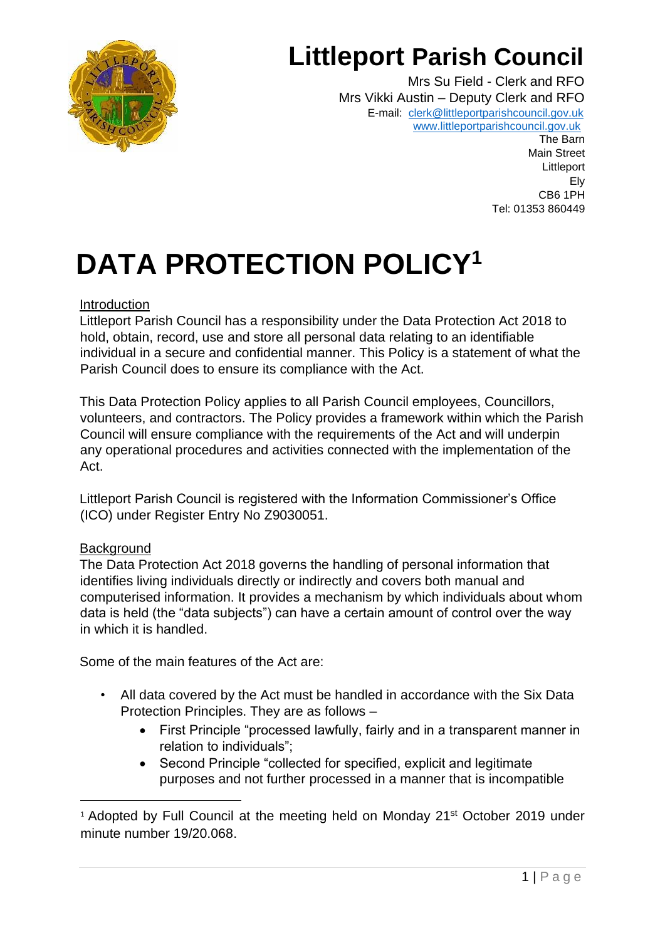

# **Littleport Parish Council**

Mrs Su Field - Clerk and RFO Mrs Vikki Austin – Deputy Clerk and RFO E-mail: [clerk@littleportparishcouncil.gov.uk](mailto:clerk@littleportparishcouncil.gov.uk) www.littleportparishcouncil.gov.u[k](http://www.ststepheninbrannel-pc.org.uk/)

The Barn Main Street Littleport Ely CB6 1PH Tel: 01353 860449

# **DATA PROTECTION POLICY<sup>1</sup>**

#### Introduction

Littleport Parish Council has a responsibility under the Data Protection Act 2018 to hold, obtain, record, use and store all personal data relating to an identifiable individual in a secure and confidential manner. This Policy is a statement of what the Parish Council does to ensure its compliance with the Act.

This Data Protection Policy applies to all Parish Council employees, Councillors, volunteers, and contractors. The Policy provides a framework within which the Parish Council will ensure compliance with the requirements of the Act and will underpin any operational procedures and activities connected with the implementation of the Act.

Littleport Parish Council is registered with the Information Commissioner's Office (ICO) under Register Entry No Z9030051.

## **Background**

The Data Protection Act 2018 governs the handling of personal information that identifies living individuals directly or indirectly and covers both manual and computerised information. It provides a mechanism by which individuals about whom data is held (the "data subjects") can have a certain amount of control over the way in which it is handled.

Some of the main features of the Act are:

- All data covered by the Act must be handled in accordance with the Six Data Protection Principles. They are as follows –
	- First Principle "processed lawfully, fairly and in a transparent manner in relation to individuals";
	- Second Principle "collected for specified, explicit and legitimate purposes and not further processed in a manner that is incompatible

<sup>&</sup>lt;sup>1</sup> Adopted by Full Council at the meeting held on Monday 21<sup>st</sup> October 2019 under minute number 19/20.068.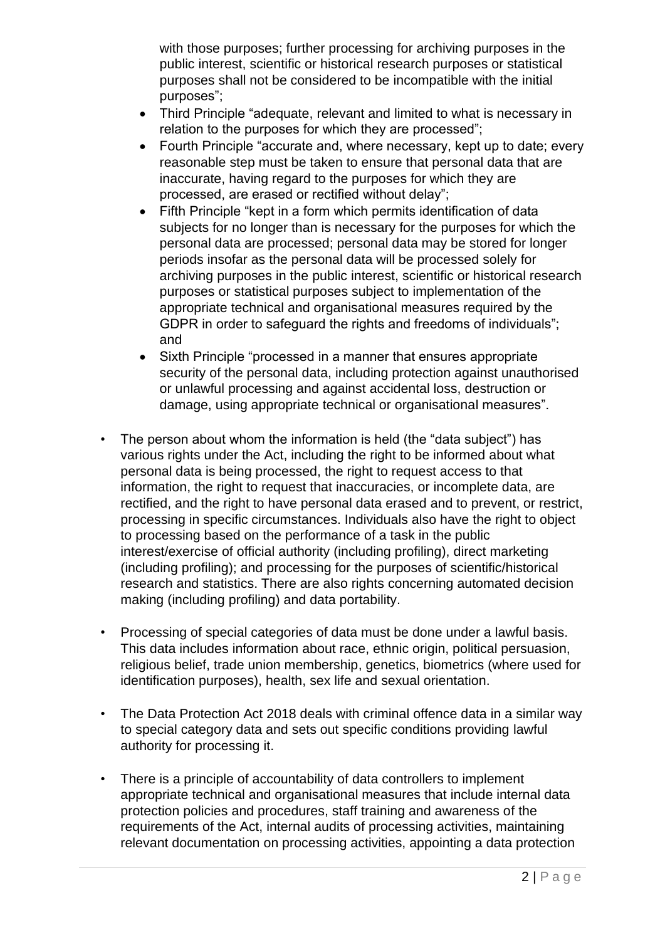with those purposes; further processing for archiving purposes in the public interest, scientific or historical research purposes or statistical purposes shall not be considered to be incompatible with the initial purposes";

- Third Principle "adequate, relevant and limited to what is necessary in relation to the purposes for which they are processed";
- Fourth Principle "accurate and, where necessary, kept up to date; every reasonable step must be taken to ensure that personal data that are inaccurate, having regard to the purposes for which they are processed, are erased or rectified without delay";
- Fifth Principle "kept in a form which permits identification of data subjects for no longer than is necessary for the purposes for which the personal data are processed; personal data may be stored for longer periods insofar as the personal data will be processed solely for archiving purposes in the public interest, scientific or historical research purposes or statistical purposes subject to implementation of the appropriate technical and organisational measures required by the GDPR in order to safeguard the rights and freedoms of individuals": and
- Sixth Principle "processed in a manner that ensures appropriate security of the personal data, including protection against unauthorised or unlawful processing and against accidental loss, destruction or damage, using appropriate technical or organisational measures".
- The person about whom the information is held (the "data subject") has various rights under the Act, including the right to be informed about what personal data is being processed, the right to request access to that information, the right to request that inaccuracies, or incomplete data, are rectified, and the right to have personal data erased and to prevent, or restrict, processing in specific circumstances. Individuals also have the right to object to processing based on the performance of a task in the public interest/exercise of official authority (including profiling), direct marketing (including profiling); and processing for the purposes of scientific/historical research and statistics. There are also rights concerning automated decision making (including profiling) and data portability.
- Processing of special categories of data must be done under a lawful basis. This data includes information about race, ethnic origin, political persuasion, religious belief, trade union membership, genetics, biometrics (where used for identification purposes), health, sex life and sexual orientation.
- The Data Protection Act 2018 deals with criminal offence data in a similar way to special category data and sets out specific conditions providing lawful authority for processing it.
- There is a principle of accountability of data controllers to implement appropriate technical and organisational measures that include internal data protection policies and procedures, staff training and awareness of the requirements of the Act, internal audits of processing activities, maintaining relevant documentation on processing activities, appointing a data protection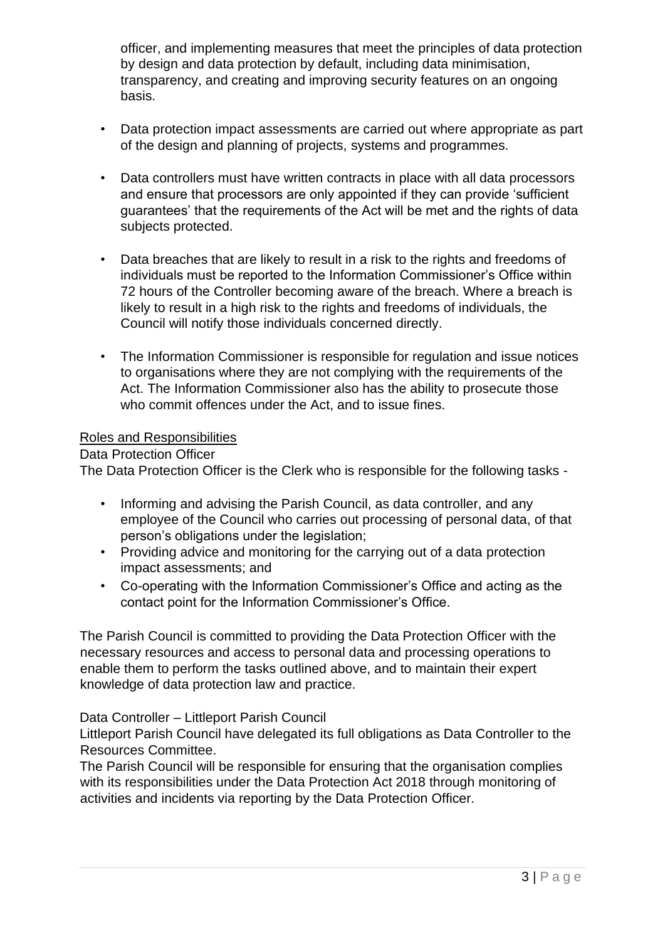officer, and implementing measures that meet the principles of data protection by design and data protection by default, including data minimisation, transparency, and creating and improving security features on an ongoing basis.

- Data protection impact assessments are carried out where appropriate as part of the design and planning of projects, systems and programmes.
- Data controllers must have written contracts in place with all data processors and ensure that processors are only appointed if they can provide 'sufficient guarantees' that the requirements of the Act will be met and the rights of data subjects protected.
- Data breaches that are likely to result in a risk to the rights and freedoms of individuals must be reported to the Information Commissioner's Office within 72 hours of the Controller becoming aware of the breach. Where a breach is likely to result in a high risk to the rights and freedoms of individuals, the Council will notify those individuals concerned directly.
- The Information Commissioner is responsible for regulation and issue notices to organisations where they are not complying with the requirements of the Act. The Information Commissioner also has the ability to prosecute those who commit offences under the Act, and to issue fines.

#### Roles and Responsibilities

Data Protection Officer

The Data Protection Officer is the Clerk who is responsible for the following tasks -

- Informing and advising the Parish Council, as data controller, and any employee of the Council who carries out processing of personal data, of that person's obligations under the legislation;
- Providing advice and monitoring for the carrying out of a data protection impact assessments; and
- Co-operating with the Information Commissioner's Office and acting as the contact point for the Information Commissioner's Office.

The Parish Council is committed to providing the Data Protection Officer with the necessary resources and access to personal data and processing operations to enable them to perform the tasks outlined above, and to maintain their expert knowledge of data protection law and practice.

Data Controller – Littleport Parish Council

Littleport Parish Council have delegated its full obligations as Data Controller to the Resources Committee.

The Parish Council will be responsible for ensuring that the organisation complies with its responsibilities under the Data Protection Act 2018 through monitoring of activities and incidents via reporting by the Data Protection Officer.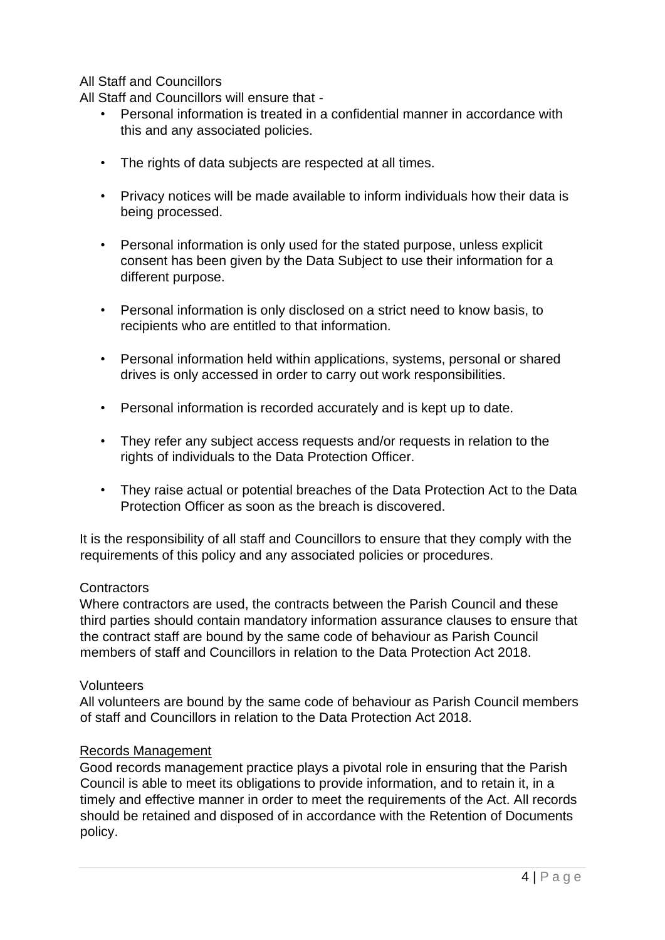#### All Staff and Councillors

All Staff and Councillors will ensure that -

- Personal information is treated in a confidential manner in accordance with this and any associated policies.
- The rights of data subjects are respected at all times.
- Privacy notices will be made available to inform individuals how their data is being processed.
- Personal information is only used for the stated purpose, unless explicit consent has been given by the Data Subject to use their information for a different purpose.
- Personal information is only disclosed on a strict need to know basis, to recipients who are entitled to that information.
- Personal information held within applications, systems, personal or shared drives is only accessed in order to carry out work responsibilities.
- Personal information is recorded accurately and is kept up to date.
- They refer any subject access requests and/or requests in relation to the rights of individuals to the Data Protection Officer.
- They raise actual or potential breaches of the Data Protection Act to the Data Protection Officer as soon as the breach is discovered.

It is the responsibility of all staff and Councillors to ensure that they comply with the requirements of this policy and any associated policies or procedures.

#### **Contractors**

Where contractors are used, the contracts between the Parish Council and these third parties should contain mandatory information assurance clauses to ensure that the contract staff are bound by the same code of behaviour as Parish Council members of staff and Councillors in relation to the Data Protection Act 2018.

#### Volunteers

All volunteers are bound by the same code of behaviour as Parish Council members of staff and Councillors in relation to the Data Protection Act 2018.

#### Records Management

Good records management practice plays a pivotal role in ensuring that the Parish Council is able to meet its obligations to provide information, and to retain it, in a timely and effective manner in order to meet the requirements of the Act. All records should be retained and disposed of in accordance with the Retention of Documents policy.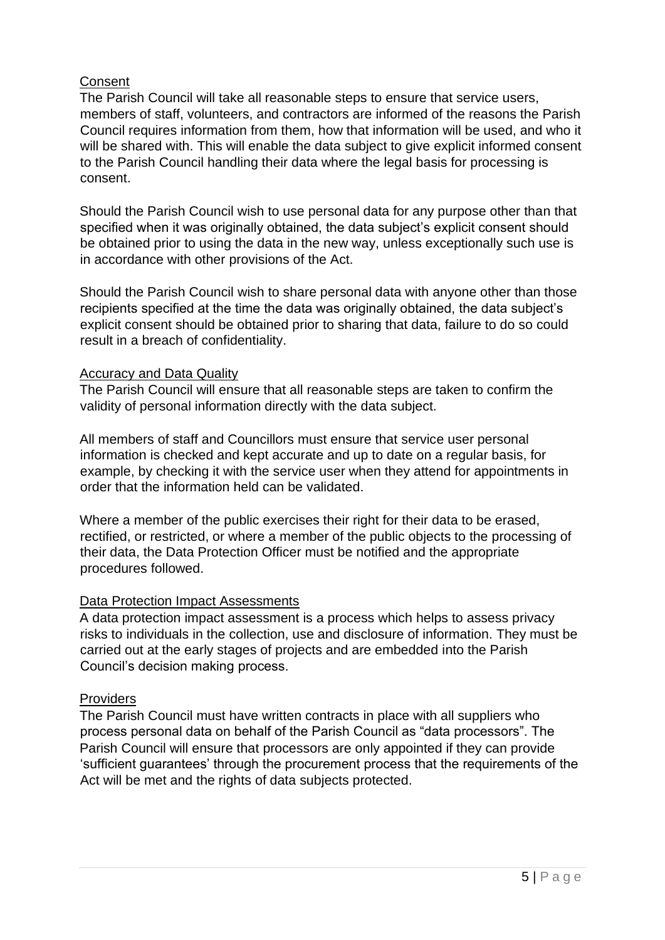#### **Consent**

The Parish Council will take all reasonable steps to ensure that service users, members of staff, volunteers, and contractors are informed of the reasons the Parish Council requires information from them, how that information will be used, and who it will be shared with. This will enable the data subiect to give explicit informed consent to the Parish Council handling their data where the legal basis for processing is consent.

Should the Parish Council wish to use personal data for any purpose other than that specified when it was originally obtained, the data subject's explicit consent should be obtained prior to using the data in the new way, unless exceptionally such use is in accordance with other provisions of the Act.

Should the Parish Council wish to share personal data with anyone other than those recipients specified at the time the data was originally obtained, the data subject's explicit consent should be obtained prior to sharing that data, failure to do so could result in a breach of confidentiality.

#### Accuracy and Data Quality

The Parish Council will ensure that all reasonable steps are taken to confirm the validity of personal information directly with the data subject.

All members of staff and Councillors must ensure that service user personal information is checked and kept accurate and up to date on a regular basis, for example, by checking it with the service user when they attend for appointments in order that the information held can be validated.

Where a member of the public exercises their right for their data to be erased, rectified, or restricted, or where a member of the public objects to the processing of their data, the Data Protection Officer must be notified and the appropriate procedures followed.

## Data Protection Impact Assessments

A data protection impact assessment is a process which helps to assess privacy risks to individuals in the collection, use and disclosure of information. They must be carried out at the early stages of projects and are embedded into the Parish Council's decision making process.

#### **Providers**

The Parish Council must have written contracts in place with all suppliers who process personal data on behalf of the Parish Council as "data processors". The Parish Council will ensure that processors are only appointed if they can provide 'sufficient guarantees' through the procurement process that the requirements of the Act will be met and the rights of data subjects protected.